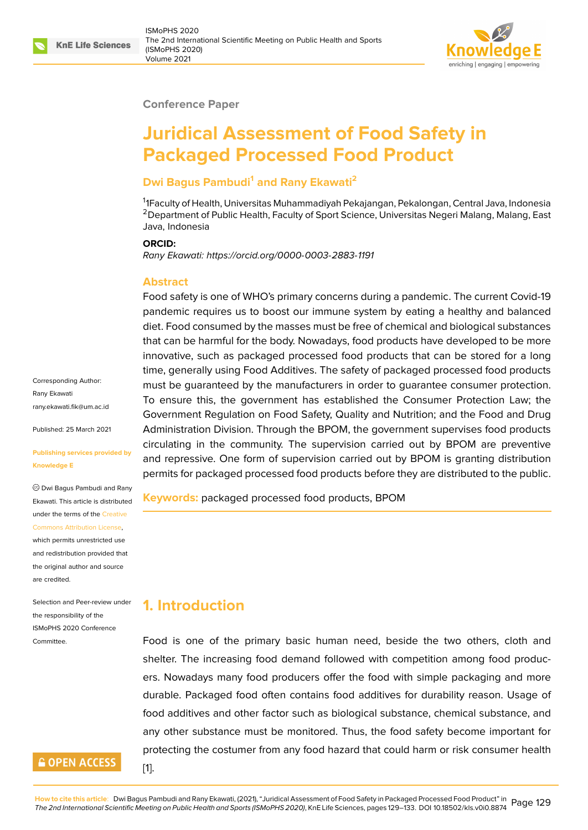#### **Conference Paper**

# **Juridical Assessment of Food Safety in Packaged Processed Food Product**

## **Dwi Bagus Pambudi<sup>1</sup> and Rany Ekawati<sup>2</sup>**

<sup>1</sup>1Faculty of Health, Universitas Muhammadiyah Pekajangan, Pekalongan, Central Java, Indonesia <sup>2</sup> Department of Public Health, Faculty of Sport Science, Universitas Negeri Malang, Malang, East Java, Indonesia

#### **ORCID:**

*Rany Ekawati: https://orcid.org/0000-0003-2883-1191*

### **Abstract**

Food safety is one of WHO's primary concerns during a pandemic. The current Covid-19 pandemic re[quires us to boost our immune syste](https://orcid.org/0000-0003-2883-1191)m by eating a healthy and balanced diet. Food consumed by the masses must be free of chemical and biological substances that can be harmful for the body. Nowadays, food products have developed to be more innovative, such as packaged processed food products that can be stored for a long time, generally using Food Additives. The safety of packaged processed food products must be guaranteed by the manufacturers in order to guarantee consumer protection. To ensure this, the government has established the Consumer Protection Law; the Government Regulation on Food Safety, Quality and Nutrition; and the Food and Drug Administration Division. Through the BPOM, the government supervises food products circulating in the community. The supervision carried out by BPOM are preventive and repressive. One form of supervision carried out by BPOM is granting distribution permits for packaged processed food products before they are distributed to the public.

**Keywords:** packaged processed food products, BPOM

# **1. Introduction**

Food is one of the primary basic human need, beside the two others, cloth and shelter. The increasing food demand followed with competition among food producers. Nowadays many food producers offer the food with simple packaging and more durable. Packaged food often contains food additives for durability reason. Usage of food additives and other factor such as biological substance, chemical substance, and any other substance must be monitored. Thus, the food safety become important for protecting the costumer from any food hazard that could harm or risk consumer health

Corresponding Author: Rany Ekawati rany.ekawati.fik@um.ac.id

Published: 25 March 2021

#### **[Publishing services provi](mailto:rany.ekawati.fik@um.ac.id)ded by Knowledge E**

Dwi Bagus Pambudi and Rany Ekawati. This article is distributed under the terms of the Creative Commons Attribution License,

which permits unrestricted use and redistribution provided that the original author and [source](https://creativecommons.org/licenses/by/4.0/) [are credited.](https://creativecommons.org/licenses/by/4.0/)

Selection and Peer-review under the responsibility of the ISMoPHS 2020 Conference Committee.



[1].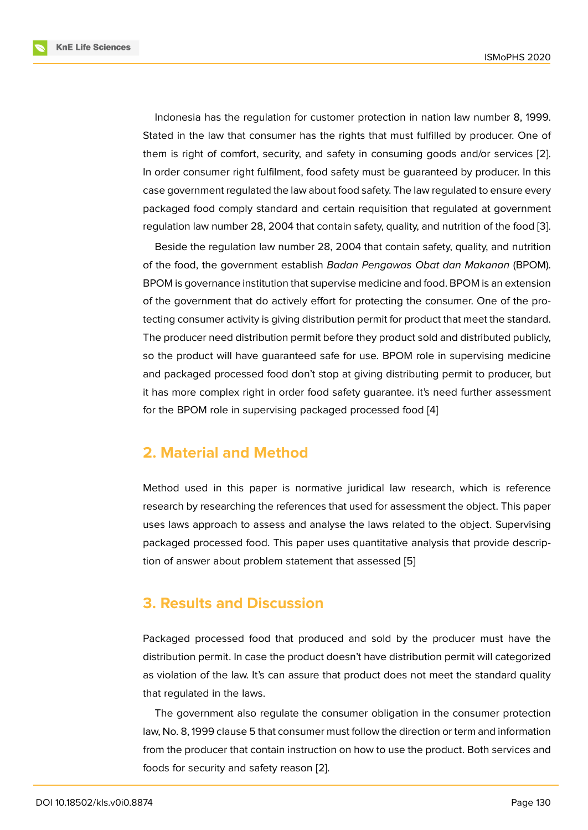Indonesia has the regulation for customer protection in nation law number 8, 1999. Stated in the law that consumer has the rights that must fulfilled by producer. One of them is right of comfort, security, and safety in consuming goods and/or services [2]. In order consumer right fulfilment, food safety must be guaranteed by producer. In this case government regulated the law about food safety. The law regulated to ensure every packaged food comply standard and certain requisition that regulated at governm[en](#page-4-0)t regulation law number 28, 2004 that contain safety, quality, and nutrition of the food [3].

Beside the regulation law number 28, 2004 that contain safety, quality, and nutrition of the food, the government establish *Badan Pengawas Obat dan Makanan* (BPOM). BPOM is governance institution that supervise medicine and food. BPOM is an extensi[on](#page-4-1) of the government that do actively effort for protecting the consumer. One of the protecting consumer activity is giving distribution permit for product that meet the standard. The producer need distribution permit before they product sold and distributed publicly, so the product will have guaranteed safe for use. BPOM role in supervising medicine and packaged processed food don't stop at giving distributing permit to producer, but it has more complex right in order food safety guarantee. it's need further assessment for the BPOM role in supervising packaged processed food [4]

## **2. Material and Method**

Method used in this paper is normative juridical law research, which is reference research by researching the references that used for assessment the object. This paper uses laws approach to assess and analyse the laws related to the object. Supervising packaged processed food. This paper uses quantitative analysis that provide description of answer about problem statement that assessed [5]

## **3. Results and Discussion**

Packaged processed food that produced and sold by the producer must have the distribution permit. In case the product doesn't have distribution permit will categorized as violation of the law. It's can assure that product does not meet the standard quality that regulated in the laws.

The government also regulate the consumer obligation in the consumer protection law, No. 8, 1999 clause 5 that consumer must follow the direction or term and information from the producer that contain instruction on how to use the product. Both services and foods for security and safety reason [2].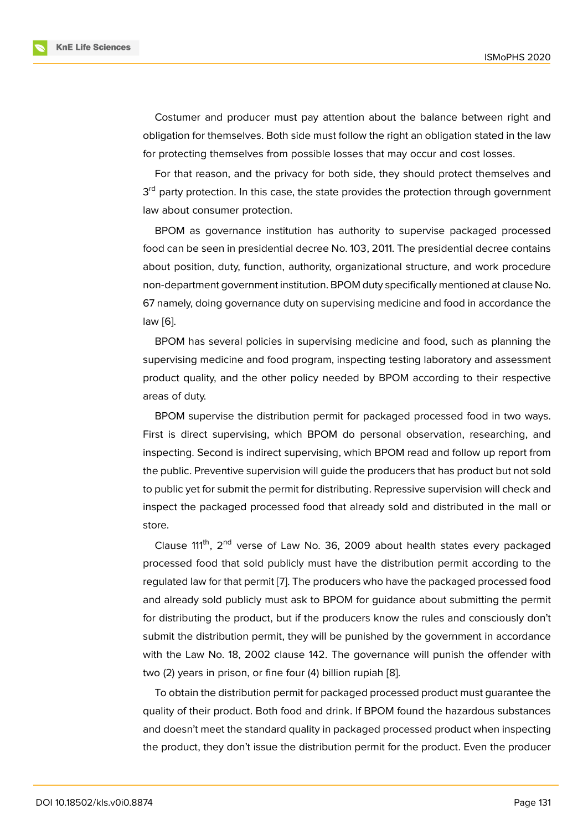Costumer and producer must pay attention about the balance between right and obligation for themselves. Both side must follow the right an obligation stated in the law for protecting themselves from possible losses that may occur and cost losses.

For that reason, and the privacy for both side, they should protect themselves and 3<sup>rd</sup> party protection. In this case, the state provides the protection through government law about consumer protection.

BPOM as governance institution has authority to supervise packaged processed food can be seen in presidential decree No. 103, 2011. The presidential decree contains about position, duty, function, authority, organizational structure, and work procedure non-department government institution. BPOM duty specifically mentioned at clause No. 67 namely, doing governance duty on supervising medicine and food in accordance the law [6].

BPOM has several policies in supervising medicine and food, such as planning the supervising medicine and food program, inspecting testing laboratory and assessment pro[du](#page-4-2)ct quality, and the other policy needed by BPOM according to their respective areas of duty.

BPOM supervise the distribution permit for packaged processed food in two ways. First is direct supervising, which BPOM do personal observation, researching, and inspecting. Second is indirect supervising, which BPOM read and follow up report from the public. Preventive supervision will guide the producers that has product but not sold to public yet for submit the permit for distributing. Repressive supervision will check and inspect the packaged processed food that already sold and distributed in the mall or store.

Clause  $111^{th}$ ,  $2^{nd}$  verse of Law No. 36, 2009 about health states every packaged processed food that sold publicly must have the distribution permit according to the regulated law for that permit [7]. The producers who have the packaged processed food and already sold publicly must ask to BPOM for guidance about submitting the permit for distributing the product, but if the producers know the rules and consciously don't submit the distribution permi[t,](#page-4-3) they will be punished by the government in accordance with the Law No. 18, 2002 clause 142. The governance will punish the offender with two (2) years in prison, or fine four (4) billion rupiah [8].

To obtain the distribution permit for packaged processed product must guarantee the quality of their product. Both food and drink. If BPOM found the hazardous substances and doesn't meet the standard quality in packaged [pro](#page-4-4)cessed product when inspecting the product, they don't issue the distribution permit for the product. Even the producer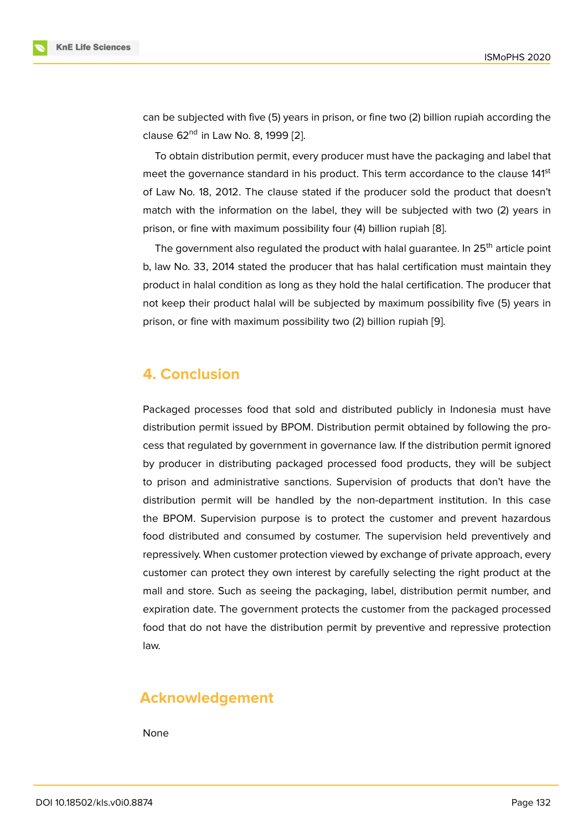can be subjected with five (5) years in prison, or fine two (2) billion rupiah according the clause 62<sup>nd</sup> in Law No. 8, 1999 [2].

To obtain distribution permit, every producer must have the packaging and label that meet the governance standard in his product. This term accordance to the clause 141<sup>st</sup> of Law No. 18, 2012. The claus[e](#page-4-0) stated if the producer sold the product that doesn't match with the information on the label, they will be subjected with two (2) years in prison, or fine with maximum possibility four (4) billion rupiah [8].

The government also regulated the product with halal guarantee. In  $25<sup>th</sup>$  article point b, law No. 33, 2014 stated the producer that has halal certification must maintain they product in halal condition as long as they hold the halal certifi[ca](#page-4-4)tion. The producer that not keep their product halal will be subjected by maximum possibility five (5) years in prison, or fine with maximum possibility two (2) billion rupiah [9].

# **4. Conclusion**

Packaged processes food that sold and distributed publicly in Indonesia must have distribution permit issued by BPOM. Distribution permit obtained by following the process that regulated by government in governance law. If the distribution permit ignored by producer in distributing packaged processed food products, they will be subject to prison and administrative sanctions. Supervision of products that don't have the distribution permit will be handled by the non-department institution. In this case the BPOM. Supervision purpose is to protect the customer and prevent hazardous food distributed and consumed by costumer. The supervision held preventively and repressively. When customer protection viewed by exchange of private approach, every customer can protect they own interest by carefully selecting the right product at the mall and store. Such as seeing the packaging, label, distribution permit number, and expiration date. The government protects the customer from the packaged processed food that do not have the distribution permit by preventive and repressive protection law.

# **Acknowledgement**

None